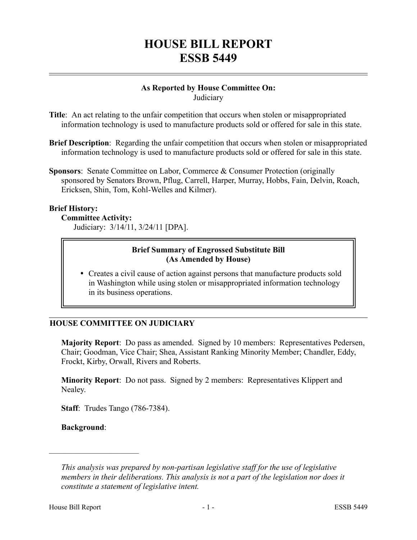## **HOUSE BILL REPORT ESSB 5449**

# **As Reported by House Committee On:**

**Judiciary** 

- **Title**: An act relating to the unfair competition that occurs when stolen or misappropriated information technology is used to manufacture products sold or offered for sale in this state.
- **Brief Description**: Regarding the unfair competition that occurs when stolen or misappropriated information technology is used to manufacture products sold or offered for sale in this state.
- **Sponsors**: Senate Committee on Labor, Commerce & Consumer Protection (originally sponsored by Senators Brown, Pflug, Carrell, Harper, Murray, Hobbs, Fain, Delvin, Roach, Ericksen, Shin, Tom, Kohl-Welles and Kilmer).

## **Brief History:**

#### **Committee Activity:**

Judiciary: 3/14/11, 3/24/11 [DPA].

## **Brief Summary of Engrossed Substitute Bill (As Amended by House)**

 Creates a civil cause of action against persons that manufacture products sold in Washington while using stolen or misappropriated information technology in its business operations.

## **HOUSE COMMITTEE ON JUDICIARY**

**Majority Report**: Do pass as amended. Signed by 10 members: Representatives Pedersen, Chair; Goodman, Vice Chair; Shea, Assistant Ranking Minority Member; Chandler, Eddy, Frockt, Kirby, Orwall, Rivers and Roberts.

**Minority Report**: Do not pass. Signed by 2 members: Representatives Klippert and Nealey.

**Staff**: Trudes Tango (786-7384).

**Background**:

––––––––––––––––––––––

*This analysis was prepared by non-partisan legislative staff for the use of legislative members in their deliberations. This analysis is not a part of the legislation nor does it constitute a statement of legislative intent.*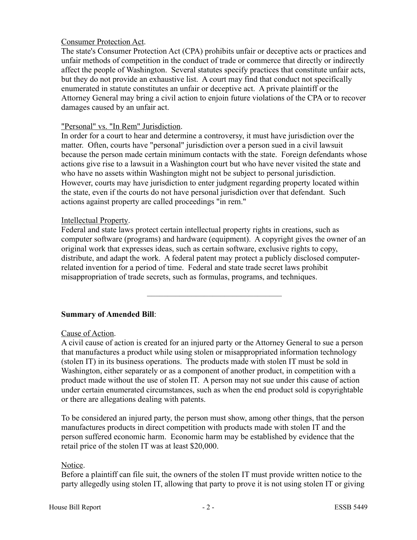## Consumer Protection Act.

The state's Consumer Protection Act (CPA) prohibits unfair or deceptive acts or practices and unfair methods of competition in the conduct of trade or commerce that directly or indirectly affect the people of Washington. Several statutes specify practices that constitute unfair acts, but they do not provide an exhaustive list. A court may find that conduct not specifically enumerated in statute constitutes an unfair or deceptive act. A private plaintiff or the Attorney General may bring a civil action to enjoin future violations of the CPA or to recover damages caused by an unfair act.

#### "Personal" vs. "In Rem" Jurisdiction.

In order for a court to hear and determine a controversy, it must have jurisdiction over the matter. Often, courts have "personal" jurisdiction over a person sued in a civil lawsuit because the person made certain minimum contacts with the state. Foreign defendants whose actions give rise to a lawsuit in a Washington court but who have never visited the state and who have no assets within Washington might not be subject to personal jurisdiction. However, courts may have jurisdiction to enter judgment regarding property located within the state, even if the courts do not have personal jurisdiction over that defendant. Such actions against property are called proceedings "in rem."

#### Intellectual Property.

Federal and state laws protect certain intellectual property rights in creations, such as computer software (programs) and hardware (equipment). A copyright gives the owner of an original work that expresses ideas, such as certain software, exclusive rights to copy, distribute, and adapt the work. A federal patent may protect a publicly disclosed computerrelated invention for a period of time. Federal and state trade secret laws prohibit misappropriation of trade secrets, such as formulas, programs, and techniques.

–––––––––––––––––––––––––––––––––

## **Summary of Amended Bill**:

#### Cause of Action.

A civil cause of action is created for an injured party or the Attorney General to sue a person that manufactures a product while using stolen or misappropriated information technology (stolen IT) in its business operations. The products made with stolen IT must be sold in Washington, either separately or as a component of another product, in competition with a product made without the use of stolen IT. A person may not sue under this cause of action under certain enumerated circumstances, such as when the end product sold is copyrightable or there are allegations dealing with patents.

To be considered an injured party, the person must show, among other things, that the person manufactures products in direct competition with products made with stolen IT and the person suffered economic harm. Economic harm may be established by evidence that the retail price of the stolen IT was at least \$20,000.

#### Notice.

Before a plaintiff can file suit, the owners of the stolen IT must provide written notice to the party allegedly using stolen IT, allowing that party to prove it is not using stolen IT or giving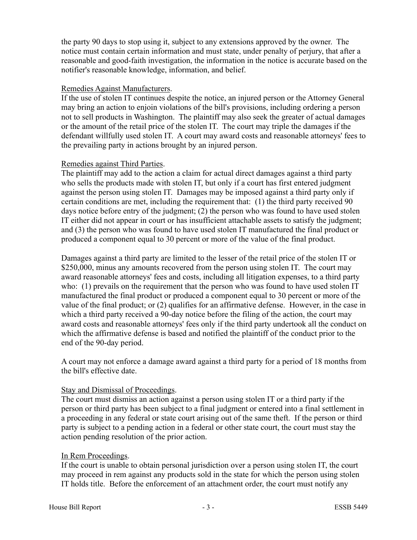the party 90 days to stop using it, subject to any extensions approved by the owner. The notice must contain certain information and must state, under penalty of perjury, that after a reasonable and good-faith investigation, the information in the notice is accurate based on the notifier's reasonable knowledge, information, and belief.

#### Remedies Against Manufacturers.

If the use of stolen IT continues despite the notice, an injured person or the Attorney General may bring an action to enjoin violations of the bill's provisions, including ordering a person not to sell products in Washington. The plaintiff may also seek the greater of actual damages or the amount of the retail price of the stolen IT. The court may triple the damages if the defendant willfully used stolen IT. A court may award costs and reasonable attorneys' fees to the prevailing party in actions brought by an injured person.

#### Remedies against Third Parties.

The plaintiff may add to the action a claim for actual direct damages against a third party who sells the products made with stolen IT, but only if a court has first entered judgment against the person using stolen IT. Damages may be imposed against a third party only if certain conditions are met, including the requirement that: (1) the third party received 90 days notice before entry of the judgment; (2) the person who was found to have used stolen IT either did not appear in court or has insufficient attachable assets to satisfy the judgment; and (3) the person who was found to have used stolen IT manufactured the final product or produced a component equal to 30 percent or more of the value of the final product.

Damages against a third party are limited to the lesser of the retail price of the stolen IT or \$250,000, minus any amounts recovered from the person using stolen IT. The court may award reasonable attorneys' fees and costs, including all litigation expenses, to a third party who: (1) prevails on the requirement that the person who was found to have used stolen IT manufactured the final product or produced a component equal to 30 percent or more of the value of the final product; or (2) qualifies for an affirmative defense. However, in the case in which a third party received a 90-day notice before the filing of the action, the court may award costs and reasonable attorneys' fees only if the third party undertook all the conduct on which the affirmative defense is based and notified the plaintiff of the conduct prior to the end of the 90-day period.

A court may not enforce a damage award against a third party for a period of 18 months from the bill's effective date.

#### Stay and Dismissal of Proceedings.

The court must dismiss an action against a person using stolen IT or a third party if the person or third party has been subject to a final judgment or entered into a final settlement in a proceeding in any federal or state court arising out of the same theft. If the person or third party is subject to a pending action in a federal or other state court, the court must stay the action pending resolution of the prior action.

#### In Rem Proceedings.

If the court is unable to obtain personal jurisdiction over a person using stolen IT, the court may proceed in rem against any products sold in the state for which the person using stolen IT holds title. Before the enforcement of an attachment order, the court must notify any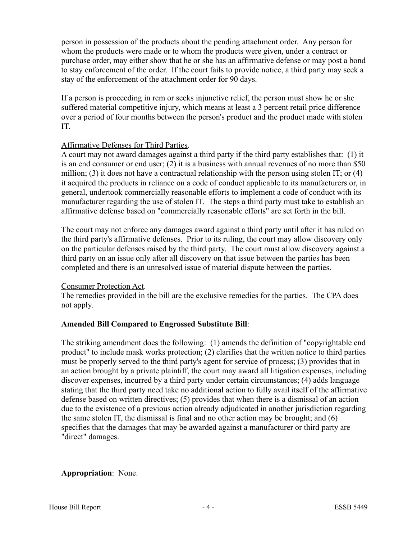person in possession of the products about the pending attachment order. Any person for whom the products were made or to whom the products were given, under a contract or purchase order, may either show that he or she has an affirmative defense or may post a bond to stay enforcement of the order. If the court fails to provide notice, a third party may seek a stay of the enforcement of the attachment order for 90 days.

If a person is proceeding in rem or seeks injunctive relief, the person must show he or she suffered material competitive injury, which means at least a 3 percent retail price difference over a period of four months between the person's product and the product made with stolen IT.

## Affirmative Defenses for Third Parties.

A court may not award damages against a third party if the third party establishes that: (1) it is an end consumer or end user; (2) it is a business with annual revenues of no more than \$50 million; (3) it does not have a contractual relationship with the person using stolen IT; or (4) it acquired the products in reliance on a code of conduct applicable to its manufacturers or, in general, undertook commercially reasonable efforts to implement a code of conduct with its manufacturer regarding the use of stolen IT. The steps a third party must take to establish an affirmative defense based on "commercially reasonable efforts" are set forth in the bill.

The court may not enforce any damages award against a third party until after it has ruled on the third party's affirmative defenses. Prior to its ruling, the court may allow discovery only on the particular defenses raised by the third party. The court must allow discovery against a third party on an issue only after all discovery on that issue between the parties has been completed and there is an unresolved issue of material dispute between the parties.

## Consumer Protection Act.

The remedies provided in the bill are the exclusive remedies for the parties. The CPA does not apply.

## **Amended Bill Compared to Engrossed Substitute Bill**:

The striking amendment does the following: (1) amends the definition of "copyrightable end product" to include mask works protection; (2) clarifies that the written notice to third parties must be properly served to the third party's agent for service of process; (3) provides that in an action brought by a private plaintiff, the court may award all litigation expenses, including discover expenses, incurred by a third party under certain circumstances; (4) adds language stating that the third party need take no additional action to fully avail itself of the affirmative defense based on written directives; (5) provides that when there is a dismissal of an action due to the existence of a previous action already adjudicated in another jurisdiction regarding the same stolen IT, the dismissal is final and no other action may be brought; and (6) specifies that the damages that may be awarded against a manufacturer or third party are "direct" damages.

–––––––––––––––––––––––––––––––––

## **Appropriation**: None.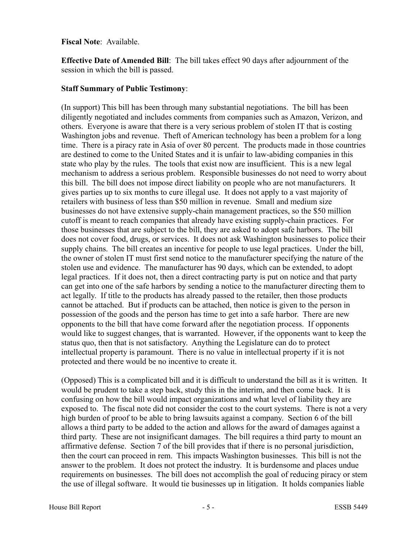#### **Fiscal Note**: Available.

**Effective Date of Amended Bill**: The bill takes effect 90 days after adjournment of the session in which the bill is passed.

#### **Staff Summary of Public Testimony**:

(In support) This bill has been through many substantial negotiations. The bill has been diligently negotiated and includes comments from companies such as Amazon, Verizon, and others. Everyone is aware that there is a very serious problem of stolen IT that is costing Washington jobs and revenue. Theft of American technology has been a problem for a long time. There is a piracy rate in Asia of over 80 percent. The products made in those countries are destined to come to the United States and it is unfair to law-abiding companies in this state who play by the rules. The tools that exist now are insufficient. This is a new legal mechanism to address a serious problem. Responsible businesses do not need to worry about this bill. The bill does not impose direct liability on people who are not manufacturers. It gives parties up to six months to cure illegal use. It does not apply to a vast majority of retailers with business of less than \$50 million in revenue. Small and medium size businesses do not have extensive supply-chain management practices, so the \$50 million cutoff is meant to reach companies that already have existing supply-chain practices. For those businesses that are subject to the bill, they are asked to adopt safe harbors. The bill does not cover food, drugs, or services. It does not ask Washington businesses to police their supply chains. The bill creates an incentive for people to use legal practices. Under the bill, the owner of stolen IT must first send notice to the manufacturer specifying the nature of the stolen use and evidence. The manufacturer has 90 days, which can be extended, to adopt legal practices. If it does not, then a direct contracting party is put on notice and that party can get into one of the safe harbors by sending a notice to the manufacturer directing them to act legally. If title to the products has already passed to the retailer, then those products cannot be attached. But if products can be attached, then notice is given to the person in possession of the goods and the person has time to get into a safe harbor. There are new opponents to the bill that have come forward after the negotiation process. If opponents would like to suggest changes, that is warranted. However, if the opponents want to keep the status quo, then that is not satisfactory. Anything the Legislature can do to protect intellectual property is paramount. There is no value in intellectual property if it is not protected and there would be no incentive to create it.

(Opposed) This is a complicated bill and it is difficult to understand the bill as it is written. It would be prudent to take a step back, study this in the interim, and then come back. It is confusing on how the bill would impact organizations and what level of liability they are exposed to. The fiscal note did not consider the cost to the court systems. There is not a very high burden of proof to be able to bring lawsuits against a company. Section 6 of the bill allows a third party to be added to the action and allows for the award of damages against a third party. These are not insignificant damages. The bill requires a third party to mount an affirmative defense. Section 7 of the bill provides that if there is no personal jurisdiction, then the court can proceed in rem. This impacts Washington businesses. This bill is not the answer to the problem. It does not protect the industry. It is burdensome and places undue requirements on businesses. The bill does not accomplish the goal of reducing piracy or stem the use of illegal software. It would tie businesses up in litigation. It holds companies liable